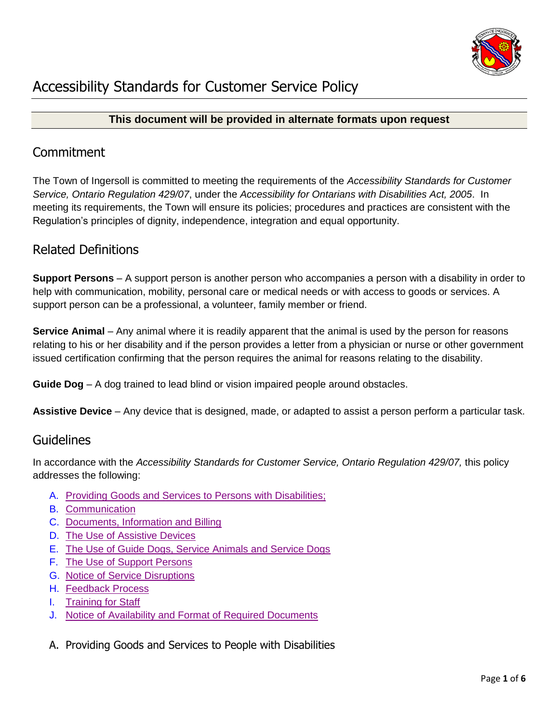

### **This document will be provided in alternate formats upon request**

## **Commitment**

The Town of Ingersoll is committed to meeting the requirements of the *Accessibility Standards for Customer Service, Ontario Regulation 429/07*, under the *Accessibility for Ontarians with Disabilities Act, 2005*. In meeting its requirements, the Town will ensure its policies; procedures and practices are consistent with the Regulation's principles of dignity, independence, integration and equal opportunity.

# Related Definitions

**Support Persons** – A support person is another person who accompanies a person with a disability in order to help with communication, mobility, personal care or medical needs or with access to goods or services. A support person can be a professional, a volunteer, family member or friend.

**Service Animal** – Any animal where it is readily apparent that the animal is used by the person for reasons relating to his or her disability and if the person provides a letter from a physician or nurse or other government issued certification confirming that the person requires the animal for reasons relating to the disability.

**Guide Dog** – A dog trained to lead blind or vision impaired people around obstacles.

**Assistive Device** – Any device that is designed, made, or adapted to assist a person perform a particular task.

## Guidelines

In accordance with the *Accessibility Standards for Customer Service, Ontario Regulation 429/07*, this policy addresses the following:

- A. [Providing Goods and Services to Persons with Disabilities;](#page-0-0)
- B. [Communication](#page-1-0)
- C. [Documents, Information and Billing](#page-1-1)
- D. [The Use of Assistive Devices](#page-2-0)
- E. The Use of [Guide Dogs, Service Animals and Service Dogs](#page-2-1)
- F. [The Use of Support Persons](#page-3-0)
- G. [Notice of Service Disruptions](#page-3-1)
- H. [Feedback](#page-4-0) Process
- I. Training [for Staff](#page-4-1)
- J. [Notice of Availability and Format of Required Documents](#page-5-0)
- <span id="page-0-0"></span>A. Providing Goods and Services to People with Disabilities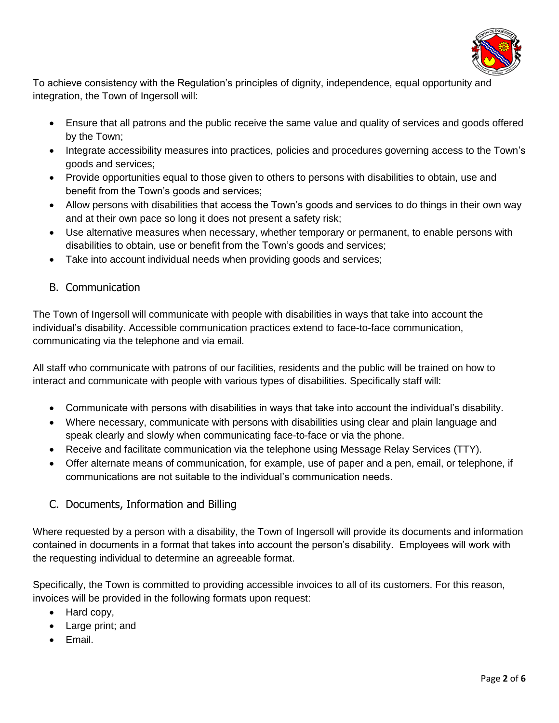

To achieve consistency with the Regulation's principles of dignity, independence, equal opportunity and integration, the Town of Ingersoll will:

- Ensure that all patrons and the public receive the same value and quality of services and goods offered by the Town;
- Integrate accessibility measures into practices, policies and procedures governing access to the Town's goods and services;
- Provide opportunities equal to those given to others to persons with disabilities to obtain, use and benefit from the Town's goods and services;
- Allow persons with disabilities that access the Town's goods and services to do things in their own way and at their own pace so long it does not present a safety risk;
- Use alternative measures when necessary, whether temporary or permanent, to enable persons with disabilities to obtain, use or benefit from the Town's goods and services;
- Take into account individual needs when providing goods and services;
- <span id="page-1-0"></span>B. Communication

The Town of Ingersoll will communicate with people with disabilities in ways that take into account the individual's disability. Accessible communication practices extend to face-to-face communication, communicating via the telephone and via email.

All staff who communicate with patrons of our facilities, residents and the public will be trained on how to interact and communicate with people with various types of disabilities. Specifically staff will:

- Communicate with persons with disabilities in ways that take into account the individual's disability.
- Where necessary, communicate with persons with disabilities using clear and plain language and speak clearly and slowly when communicating face-to-face or via the phone.
- Receive and facilitate communication via the telephone using Message Relay Services (TTY).
- Offer alternate means of communication, for example, use of paper and a pen, email, or telephone, if communications are not suitable to the individual's communication needs.
- <span id="page-1-1"></span>C. Documents, Information and Billing

Where requested by a person with a disability, the Town of Ingersoll will provide its documents and information contained in documents in a format that takes into account the person's disability. Employees will work with the requesting individual to determine an agreeable format.

Specifically, the Town is committed to providing accessible invoices to all of its customers. For this reason, invoices will be provided in the following formats upon request:

- Hard copy,
- Large print; and
- Email.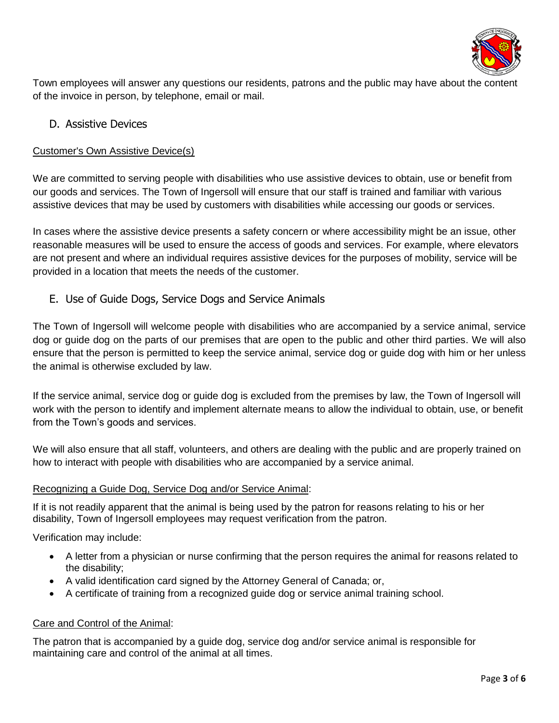

Town employees will answer any questions our residents, patrons and the public may have about the content of the invoice in person, by telephone, email or mail.

### <span id="page-2-0"></span>D. Assistive Devices

#### Customer's Own Assistive Device(s)

We are committed to serving people with disabilities who use assistive devices to obtain, use or benefit from our goods and services. The Town of Ingersoll will ensure that our staff is trained and familiar with various assistive devices that may be used by customers with disabilities while accessing our goods or services.

In cases where the assistive device presents a safety concern or where accessibility might be an issue, other reasonable measures will be used to ensure the access of goods and services. For example, where elevators are not present and where an individual requires assistive devices for the purposes of mobility, service will be provided in a location that meets the needs of the customer.

### <span id="page-2-1"></span>E. Use of Guide Dogs, Service Dogs and Service Animals

The Town of Ingersoll will welcome people with disabilities who are accompanied by a service animal, service dog or guide dog on the parts of our premises that are open to the public and other third parties. We will also ensure that the person is permitted to keep the service animal, service dog or guide dog with him or her unless the animal is otherwise excluded by law.

If the service animal, service dog or guide dog is excluded from the premises by law, the Town of Ingersoll will work with the person to identify and implement alternate means to allow the individual to obtain, use, or benefit from the Town's goods and services.

We will also ensure that all staff, volunteers, and others are dealing with the public and are properly trained on how to interact with people with disabilities who are accompanied by a service animal.

#### Recognizing a Guide Dog, Service Dog and/or Service Animal:

If it is not readily apparent that the animal is being used by the patron for reasons relating to his or her disability, Town of Ingersoll employees may request verification from the patron.

Verification may include:

- A letter from a physician or nurse confirming that the person requires the animal for reasons related to the disability;
- A valid identification card signed by the Attorney General of Canada; or,
- A certificate of training from a recognized guide dog or service animal training school.

#### Care and Control of the Animal:

The patron that is accompanied by a guide dog, service dog and/or service animal is responsible for maintaining care and control of the animal at all times.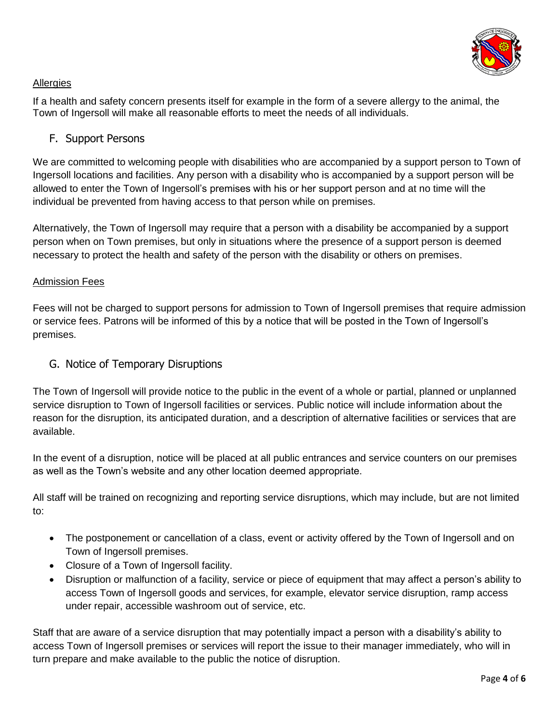

#### **Allergies**

If a health and safety concern presents itself for example in the form of a severe allergy to the animal, the Town of Ingersoll will make all reasonable efforts to meet the needs of all individuals.

### <span id="page-3-0"></span>F. Support Persons

We are committed to welcoming people with disabilities who are accompanied by a support person to Town of Ingersoll locations and facilities. Any person with a disability who is accompanied by a support person will be allowed to enter the Town of Ingersoll's premises with his or her support person and at no time will the individual be prevented from having access to that person while on premises.

Alternatively, the Town of Ingersoll may require that a person with a disability be accompanied by a support person when on Town premises, but only in situations where the presence of a support person is deemed necessary to protect the health and safety of the person with the disability or others on premises.

#### Admission Fees

Fees will not be charged to support persons for admission to Town of Ingersoll premises that require admission or service fees. Patrons will be informed of this by a notice that will be posted in the Town of Ingersoll's premises.

### <span id="page-3-1"></span>G. Notice of Temporary Disruptions

The Town of Ingersoll will provide notice to the public in the event of a whole or partial, planned or unplanned service disruption to Town of Ingersoll facilities or services. Public notice will include information about the reason for the disruption, its anticipated duration, and a description of alternative facilities or services that are available.

In the event of a disruption, notice will be placed at all public entrances and service counters on our premises as well as the Town's website and any other location deemed appropriate.

All staff will be trained on recognizing and reporting service disruptions, which may include, but are not limited to:

- The postponement or cancellation of a class, event or activity offered by the Town of Ingersoll and on Town of Ingersoll premises.
- Closure of a Town of Ingersoll facility.
- Disruption or malfunction of a facility, service or piece of equipment that may affect a person's ability to access Town of Ingersoll goods and services, for example, elevator service disruption, ramp access under repair, accessible washroom out of service, etc.

Staff that are aware of a service disruption that may potentially impact a person with a disability's ability to access Town of Ingersoll premises or services will report the issue to their manager immediately, who will in turn prepare and make available to the public the notice of disruption.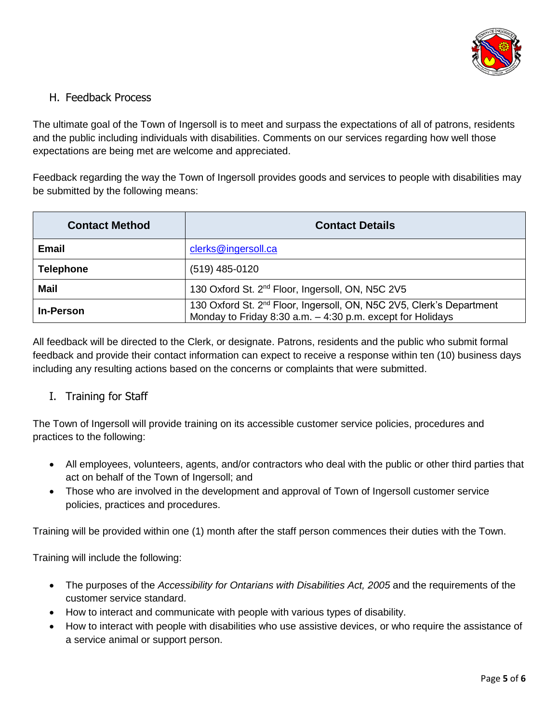

## <span id="page-4-0"></span>H. Feedback Process

The ultimate goal of the Town of Ingersoll is to meet and surpass the expectations of all of patrons, residents and the public including individuals with disabilities. Comments on our services regarding how well those expectations are being met are welcome and appreciated.

Feedback regarding the way the Town of Ingersoll provides goods and services to people with disabilities may be submitted by the following means:

| <b>Contact Method</b> | <b>Contact Details</b>                                                                                                                         |
|-----------------------|------------------------------------------------------------------------------------------------------------------------------------------------|
| Email                 | clerks@ingersoll.ca                                                                                                                            |
| <b>Telephone</b>      | (519) 485-0120                                                                                                                                 |
| <b>Mail</b>           | 130 Oxford St. 2 <sup>nd</sup> Floor, Ingersoll, ON, N5C 2V5                                                                                   |
| <b>In-Person</b>      | 130 Oxford St. 2 <sup>nd</sup> Floor, Ingersoll, ON, N5C 2V5, Clerk's Department<br>Monday to Friday 8:30 a.m. - 4:30 p.m. except for Holidays |

All feedback will be directed to the Clerk, or designate. Patrons, residents and the public who submit formal feedback and provide their contact information can expect to receive a response within ten (10) business days including any resulting actions based on the concerns or complaints that were submitted.

### <span id="page-4-1"></span>I. Training for Staff

The Town of Ingersoll will provide training on its accessible customer service policies, procedures and practices to the following:

- All employees, volunteers, agents, and/or contractors who deal with the public or other third parties that act on behalf of the Town of Ingersoll; and
- Those who are involved in the development and approval of Town of Ingersoll customer service policies, practices and procedures.

Training will be provided within one (1) month after the staff person commences their duties with the Town.

Training will include the following:

- The purposes of the *Accessibility for Ontarians with Disabilities Act, 2005* and the requirements of the customer service standard.
- How to interact and communicate with people with various types of disability.
- How to interact with people with disabilities who use assistive devices, or who require the assistance of a service animal or support person.